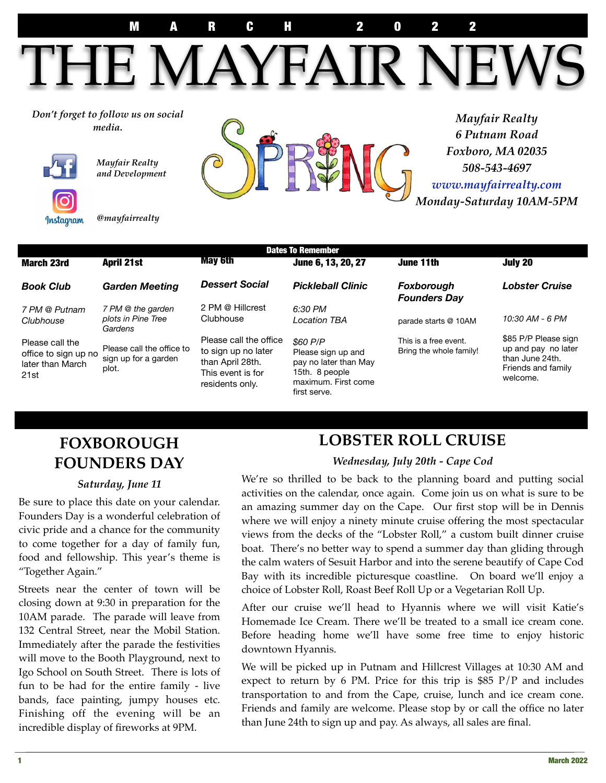M A R C H 2 0 2 2 MARCH 2022

HE MAYFAIR NEV

*Don't forget to follow us on social* 



*Mayfair Realty and Development* 



*6 Putnam Road Foxboro, MA 02035 508-543-4697 [www.mayfairrealty.com](http://www.mayfairrealty.com) Monday-Saturday 10AM-5PM* 

*@mayfairrealty*

| <b>Dates To Remember</b>                                            |                                                            |                                                                                                           |                                                                                                                  |                                                  |                                                                                                  |
|---------------------------------------------------------------------|------------------------------------------------------------|-----------------------------------------------------------------------------------------------------------|------------------------------------------------------------------------------------------------------------------|--------------------------------------------------|--------------------------------------------------------------------------------------------------|
| <b>March 23rd</b>                                                   | <b>April 21st</b>                                          | <b>May 6th</b>                                                                                            | June 6, 13, 20, 27                                                                                               | June 11th                                        | July 20                                                                                          |
| <b>Book Club</b>                                                    | <b>Garden Meeting</b>                                      | <b>Dessert Social</b>                                                                                     | <b>Pickleball Clinic</b>                                                                                         | Foxborough<br><b>Founders Day</b>                | <b>Lobster Cruise</b>                                                                            |
| 7 PM @ Putnam<br>Clubhouse                                          | 7 PM @ the garden<br>plots in Pine Tree<br>Gardens         | 2 PM @ Hillcrest<br>Clubhouse                                                                             | 6:30 PM<br>Location TBA                                                                                          | parade starts @ 10AM                             | 10:30 AM - 6 PM                                                                                  |
| Please call the<br>office to sign up no<br>later than March<br>21st | Please call the office to<br>sign up for a garden<br>plot. | Please call the office<br>to sign up no later<br>than April 28th.<br>This event is for<br>residents only. | \$60 P/P<br>Please sign up and<br>pay no later than May<br>15th. 8 people<br>maximum. First come<br>first serve. | This is a free event.<br>Bring the whole family! | \$85 P/P Please sign<br>up and pay no later<br>than June 24th.<br>Friends and family<br>welcome. |

# **FOXBOROUGH FOUNDERS DAY**

#### *Saturday, June 11*

Be sure to place this date on your calendar. Founders Day is a wonderful celebration of civic pride and a chance for the community to come together for a day of family fun, food and fellowship. This year's theme is "Together Again."

Streets near the center of town will be closing down at 9:30 in preparation for the 10AM parade. The parade will leave from 132 Central Street, near the Mobil Station. Immediately after the parade the festivities will move to the Booth Playground, next to Igo School on South Street. There is lots of fun to be had for the entire family - live bands, face painting, jumpy houses etc. Finishing off the evening will be an incredible display of fireworks at 9PM.

# **LOBSTER ROLL CRUISE**

#### *Wednesday, July 20th - Cape Cod*

We're so thrilled to be back to the planning board and putting social activities on the calendar, once again. Come join us on what is sure to be an amazing summer day on the Cape. Our first stop will be in Dennis where we will enjoy a ninety minute cruise offering the most spectacular views from the decks of the "Lobster Roll," a custom built dinner cruise boat. There's no better way to spend a summer day than gliding through the calm waters of Sesuit Harbor and into the serene beautify of Cape Cod Bay with its incredible picturesque coastline. On board we'll enjoy a choice of Lobster Roll, Roast Beef Roll Up or a Vegetarian Roll Up.

After our cruise we'll head to Hyannis where we will visit Katie's Homemade Ice Cream. There we'll be treated to a small ice cream cone. Before heading home we'll have some free time to enjoy historic downtown Hyannis.

We will be picked up in Putnam and Hillcrest Villages at 10:30 AM and expect to return by 6 PM. Price for this trip is  $$85$  P/P and includes transportation to and from the Cape, cruise, lunch and ice cream cone. Friends and family are welcome. Please stop by or call the office no later than June 24th to sign up and pay. As always, all sales are final.